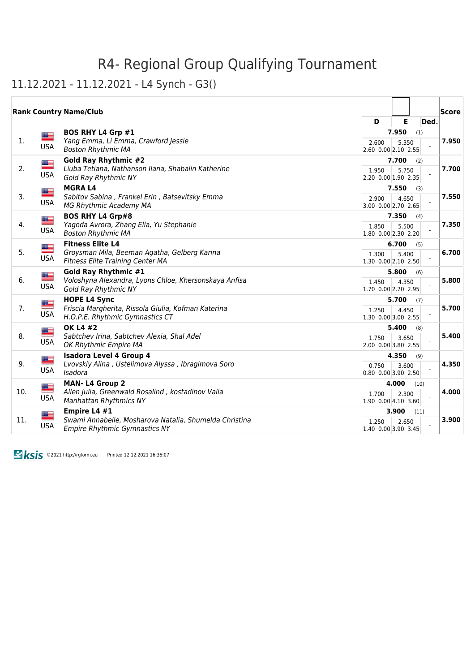11.12.2021 - 11.12.2021 - L4 Synch - G3()

|     |                            | <b>Rank Country Name/Club</b>                                                                                       |                                  |                |      | $ {\sf Score} $ |
|-----|----------------------------|---------------------------------------------------------------------------------------------------------------------|----------------------------------|----------------|------|-----------------|
|     |                            |                                                                                                                     | D                                | Е              | Ded. |                 |
| 1.  | E S<br><b>USA</b>          | <b>BOS RHY L4 Grp #1</b><br>Yang Emma, Li Emma, Crawford Jessie<br><b>Boston Rhythmic MA</b>                        | 2.600<br>2.60 0.00 2.10 2.55     | 7.950<br>5.350 | (1)  | 7.950           |
| 2.  | <u>est</u><br><b>USA</b>   | <b>Gold Ray Rhythmic #2</b><br>Liuba Tetiana, Nathanson Ilana, Shabalin Katherine<br><b>Gold Ray Rhythmic NY</b>    | 1.950<br>2.20 0.00 1.90 2.35     | 7.700<br>5.750 | (2)  | 7.700           |
| 3.  | ▇<br><b>USA</b>            | <b>MGRAL4</b><br>Sabitov Sabina, Frankel Erin, Batsevitsky Emma<br><b>MG Rhythmic Academy MA</b>                    | 2.900<br>3.00 0.00 2.70 2.65     | 7.550<br>4.650 | (3)  | 7.550           |
| 4.  | ▀<br><b>USA</b>            | <b>BOS RHY L4 Grp#8</b><br>Yagoda Avrora, Zhang Ella, Yu Stephanie<br><b>Boston Rhythmic MA</b>                     | 1.850<br>1.80 0.00 2.30 2.20     | 7.350<br>5.500 | (4)  | 7.350           |
| 5.  | ▆▆<br><b>USA</b>           | <b>Fitness Elite L4</b><br>Groysman Mila, Beeman Agatha, Gelberg Karina<br><b>Fitness Elite Training Center MA</b>  | 1.300<br>1.30 0.00 2.10 2.50     | 6.700<br>5.400 | (5)  | 6.700           |
| 6.  | <u> III.</u><br><b>USA</b> | <b>Gold Ray Rhythmic #1</b><br>Voloshyna Alexandra, Lyons Chloe, Khersonskaya Anfisa<br><b>Gold Ray Rhythmic NY</b> | 1.450<br>1.70 0.00 2.70 2.95     | 5.800<br>4.350 | (6)  | 5.800           |
| 7.  | <u>as</u><br><b>USA</b>    | <b>HOPE L4 Sync</b><br>Friscia Margherita, Rissola Giulia, Kofman Katerina<br>H.O.P.E. Rhythmic Gymnastics CT       | 1.250<br>1.30 0.00 3.00 2.55     | 5.700<br>4.450 | (7)  | 5.700           |
| 8.  | █▆<br><b>USA</b>           | <b>OK L4 #2</b><br>Sabtchev Irina, Sabtchev Alexia, Shal Adel<br>OK Rhythmic Empire MA                              | 1.750<br>2.00 0.00 3.80 2.55     | 5.400<br>3.650 | (8)  | 5.400           |
| 9.  | ▩▆<br>══<br><b>USA</b>     | <b>Isadora Level 4 Group 4</b><br>Lvovskiy Alina, Ustelimova Alyssa, Ibragimova Soro<br>Isadora                     | 0.750<br>$0.80$ $0.00$ 3.90 2.50 | 4.350<br>3.600 | (9)  | 4.350           |
| 10. | <u> III.</u><br><b>USA</b> | <b>MAN-L4 Group 2</b><br>Allen Julia, Greenwald Rosalind, kostadinov Valia<br><b>Manhattan Rhythmics NY</b>         | 1.700<br>1.90 0.00 4.10 3.60     | 4.000<br>2.300 | (10) | 4.000           |
| 11. | <b>USA</b>                 | Empire L4 #1<br>Swami Annabelle, Mosharova Natalia, Shumelda Christina<br><b>Empire Rhythmic Gymnastics NY</b>      | 1.250<br>1.40 0.00 3.90 3.45     | 3.900<br>2.650 | (11) | 3.900           |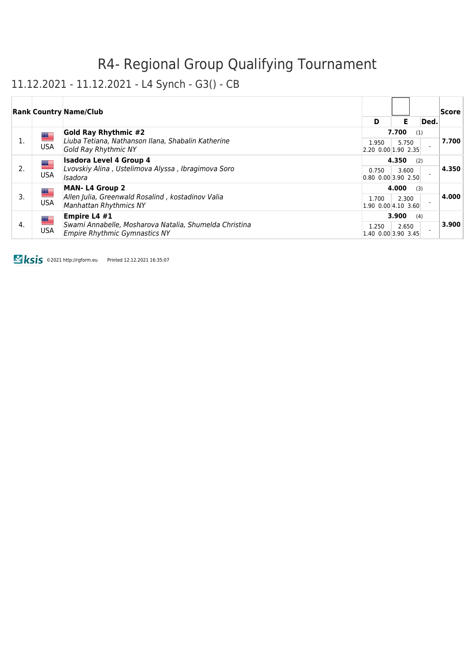### 11.12.2021 - 11.12.2021 - L4 Synch - G3() - CB

|    |                          | <b>Rank Country Name/Club</b>                                                                                                      |                                      |                |      | <b>Score</b> |
|----|--------------------------|------------------------------------------------------------------------------------------------------------------------------------|--------------------------------------|----------------|------|--------------|
|    |                          |                                                                                                                                    | D                                    | Е              | Ded. |              |
| 1. | <u>se</u><br><b>USA</b>  | <b>Gold Ray Rhythmic #2</b><br>Liuba Tetiana, Nathanson Ilana, Shabalin Katherine                                                  | 1.950                                | 7.700<br>5.750 | (1)  | 7.700        |
|    |                          | Gold Ray Rhythmic NY<br><b>Isadora Level 4 Group 4</b>                                                                             | $[2.20 \ 0.00]1.90 \ 2.35]$          |                |      |              |
| 2. | <u>est</u><br><b>USA</b> | Lvovskiy Alina, Ustelimova Alyssa, Ibragimova Soro<br>Isadora                                                                      | 0.750<br> 0.80, 0.00, 3.90, 2.50     | 4.350<br>3.600 | (2)  | 4.350        |
|    | █                        | <b>MAN-L4 Group 2</b>                                                                                                              | 4.000<br>(3)                         |                |      |              |
| 3. | <b>USA</b>               | Allen Julia, Greenwald Rosalind, kostadinov Valia<br>Manhattan Rhythmics NY                                                        | 1.700<br>$ 1.90 \t0.00 4.10 \t3.60 $ | 2.300          |      | 4.000        |
|    |                          | Empire L4 #1<br>█▆<br>Swami Annabelle, Mosharova Natalia, Shumelda Christina<br><b>USA</b><br><b>Empire Rhythmic Gymnastics NY</b> |                                      | 3.900          | (4)  |              |
| 4. |                          |                                                                                                                                    | 1.250<br>$1.40$ 0.00 3.90 3.45       | 2.650          |      | 3.900        |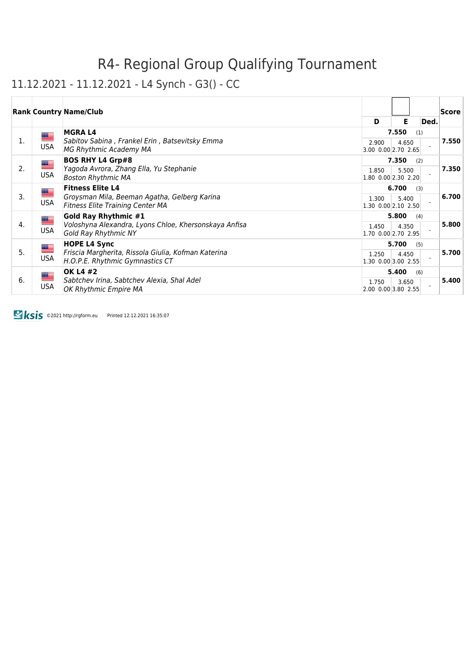### 11.12.2021 - 11.12.2021 - L4 Synch - G3() - CC

|    |                                               | <b>Rank Country Name/Club</b>                                                                                      |                                |       |      | Score |
|----|-----------------------------------------------|--------------------------------------------------------------------------------------------------------------------|--------------------------------|-------|------|-------|
|    |                                               |                                                                                                                    | D                              | Е     | Ded. |       |
|    | <u>a a</u>                                    | <b>MGRAL4</b>                                                                                                      |                                | 7.550 | (1)  |       |
| 1. | USA                                           | Sabitov Sabina, Frankel Erin, Batsevitsky Emma<br>MG Rhythmic Academy MA                                           | 2.900<br>3.00 0.00 2.70 2.65   | 4.650 |      | 7.550 |
|    |                                               |                                                                                                                    |                                |       |      |       |
| 2. |                                               | <b>BOS RHY L4 Grp#8</b><br>▀<br>Yagoda Avrora, Zhang Ella, Yu Stephanie<br><b>USA</b><br><b>Boston Rhythmic MA</b> |                                | 7.350 | (2)  | 7.350 |
|    |                                               |                                                                                                                    | 1.850<br>$1.80$ 0.00 2.30 2.20 | 5.500 |      |       |
|    |                                               | <b>Fitness Elite L4</b>                                                                                            |                                | 6.700 | (3)  |       |
| 3. | ▀                                             | Groysman Mila, Beeman Agatha, Gelberg Karina                                                                       | 1.300                          | 5.400 |      | 6.700 |
|    | <b>USA</b>                                    | <b>Fitness Elite Training Center MA</b>                                                                            | $1.30$ 0.00 2.10 2.50          |       |      |       |
|    |                                               | <b>Gold Ray Rhythmic #1</b>                                                                                        |                                | 5.800 | (4)  |       |
| 4. | <u>est</u>                                    | Voloshyna Alexandra, Lyons Chloe, Khersonskaya Anfisa                                                              | 1.450                          | 4.350 |      | 5.800 |
|    | <b>USA</b>                                    | <b>Gold Ray Rhythmic NY</b>                                                                                        | 1.70 0.00 2.70 2.95            |       |      |       |
|    |                                               | <b>HOPE L4 Sync</b>                                                                                                |                                | 5.700 | (5)  |       |
| 5. | $=$                                           | Friscia Margherita, Rissola Giulia, Kofman Katerina                                                                | 1.250                          | 4.450 |      | 5.700 |
|    | <b>USA</b><br>H.O.P.E. Rhythmic Gymnastics CT | $1.30$ 0.00 3.00 2.55                                                                                              |                                |       |      |       |
|    | ▀                                             | <b>OK L4 #2</b>                                                                                                    |                                | 5.400 | (6)  |       |
| 6. | USA                                           | Sabtchev Irina, Sabtchev Alexia, Shal Adel                                                                         | 1.750                          | 3.650 |      | 5.400 |
|    |                                               | OK Rhythmic Empire MA                                                                                              | 2.00 0.00 3.80 2.55            |       |      |       |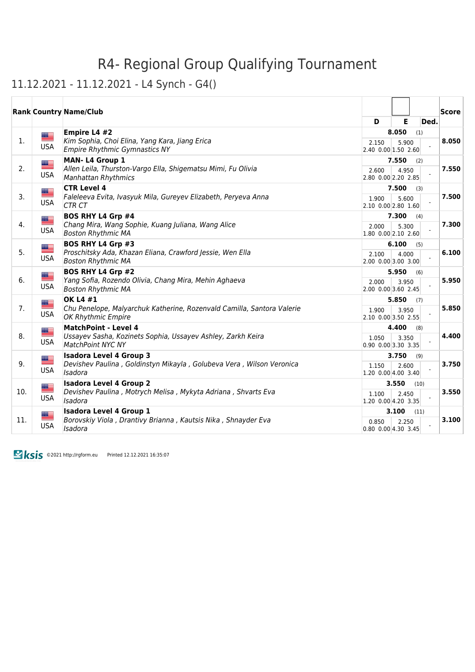#### 11.12.2021 - 11.12.2021 - L4 Synch - G4()

|     |                         | <b>Rank Country Name/Club</b>                                                                                      |                                  |                |      |      | Score |
|-----|-------------------------|--------------------------------------------------------------------------------------------------------------------|----------------------------------|----------------|------|------|-------|
|     |                         |                                                                                                                    | D                                | Е              |      | Ded. |       |
| 1.  | $\equiv$<br><b>USA</b>  | Empire L4 #2<br>Kim Sophia, Choi Elina, Yang Kara, Jiang Erica<br><b>Empire Rhythmic Gymnastics NY</b>             | 2.150<br>2.40 0.00 1.50 2.60     | 8.050<br>5.900 | (1)  |      | 8.050 |
| 2.  | █▆<br><b>USA</b>        | MAN-L4 Group 1<br>Allen Leila, Thurston-Vargo Ella, Shigematsu Mimi, Fu Olivia<br><b>Manhattan Rhythmics</b>       | 2.600<br>2.80 0.00 2.20 2.85     | 7.550<br>4.950 | (2)  |      | 7.550 |
| 3.  | E<br><b>USA</b>         | <b>CTR Level 4</b><br>Faleleeva Evita, Ivasyuk Mila, Gureyev Elizabeth, Peryeva Anna<br><b>CTR CT</b>              | 1.900<br>2.10 0.00 2.80 1.60     | 7.500<br>5.600 | (3)  |      | 7.500 |
| 4.  | █<br><b>USA</b>         | <b>BOS RHY L4 Grp #4</b><br>Chang Mira, Wang Sophie, Kuang Juliana, Wang Alice<br><b>Boston Rhythmic MA</b>        | 2.000<br>1.80 0.00 2.10 2.60     | 7.300<br>5.300 | (4)  |      | 7.300 |
| 5.  | ▀<br><b>USA</b>         | <b>BOS RHY L4 Grp #3</b><br>Proschitsky Ada, Khazan Eliana, Crawford Jessie, Wen Ella<br><b>Boston Rhythmic MA</b> | 2.100<br>2.00 0.00 3.00 3.00     | 6.100<br>4.000 | (5)  |      | 6.100 |
| 6.  | █▆<br><b>USA</b>        | <b>BOS RHY L4 Grp #2</b><br>Yang Sofia, Rozendo Olivia, Chang Mira, Mehin Aghaeva<br><b>Boston Rhythmic MA</b>     | 2.000<br>2.00 0.00 3.60 2.45     | 5.950<br>3.950 | (6)  |      | 5.950 |
| 7.  | E<br><b>USA</b>         | OK L4 #1<br>Chu Penelope, Malyarchuk Katherine, Rozenvald Camilla, Santora Valerie<br><b>OK Rhythmic Empire</b>    | 1.900<br>2.10 0.00 3.50 2.55     | 5.850<br>3.950 | (7)  |      | 5.850 |
| 8.  | █▆<br><b>USA</b>        | <b>MatchPoint - Level 4</b><br>Ussayev Sasha, Kozinets Sophia, Ussayev Ashley, Zarkh Keira<br>MatchPoint NYC NY    | 1.050<br>$0.90$ $0.00$ 3.30 3.35 | 4.400<br>3.350 | (8)  |      | 4.400 |
| 9.  | ▀<br><b>USA</b>         | <b>Isadora Level 4 Group 3</b><br>Devishev Paulina, Goldinstyn Mikayla, Golubeva Vera, Wilson Veronica<br>Isadora  | 1.150<br>1.20 0.00 4.00 3.40     | 3.750<br>2.600 | (9)  |      | 3.750 |
| 10. | ▀<br><b>USA</b>         | <b>Isadora Level 4 Group 2</b><br>Devishev Paulina, Motrych Melisa, Mykyta Adriana, Shvarts Eva<br>Isadora         | 1.100<br>1.20 0.00 4.20 3.35     | 3.550<br>2.450 | (10) |      | 3.550 |
| 11. | <u>as</u><br><b>USA</b> | <b>Isadora Level 4 Group 1</b><br>Borovskiy Viola, Drantivy Brianna, Kautsis Nika, Shnayder Eva<br>Isadora         | 0.850<br>$0.80$ $0.00$ 4.30 3.45 | 3.100<br>2.250 | (11) |      | 3.100 |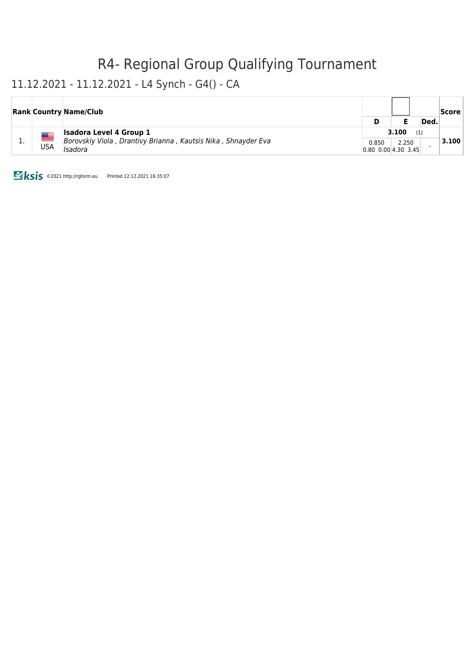### 11.12.2021 - 11.12.2021 - L4 Synch - G4() - CA

|    |     | <b>Rank Country Name/Club</b>                                            |                                  |       |      | Score |
|----|-----|--------------------------------------------------------------------------|----------------------------------|-------|------|-------|
|    |     |                                                                          | D                                |       | Ded. |       |
| ∸. |     | <b>Isadora Level 4 Group 1</b>                                           | 3.100                            |       |      |       |
|    | USA | Borovskiy Viola, Drantivy Brianna, Kautsis Nika, Shnayder Eva<br>Isadora | 0.850<br> 0.80, 0.00, 4.30, 3.45 | 2.250 |      | 3.100 |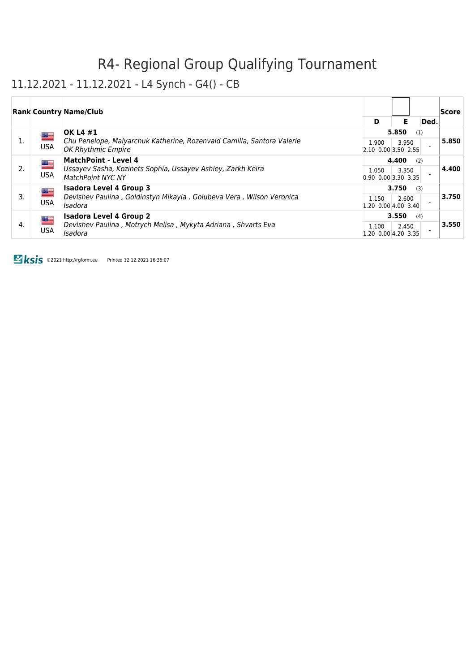### 11.12.2021 - 11.12.2021 - L4 Synch - G4() - CB

|    |            | <b>Rank Country Name/Club</b>                                                                                                  |                                      |       |      | Score |
|----|------------|--------------------------------------------------------------------------------------------------------------------------------|--------------------------------------|-------|------|-------|
|    |            |                                                                                                                                | D                                    | Е     | Ded. |       |
|    | █▆         | <b>OK L4 #1</b>                                                                                                                |                                      | 5.850 | (1)  |       |
| 1. | <b>USA</b> | Chu Penelope, Malyarchuk Katherine, Rozenvald Camilla, Santora Valerie<br>OK Rhythmic Empire                                   | 1.900<br>$[2.10 \ 0.00]3.50 \ 2.55]$ | 3.950 |      | 5.850 |
|    |            | MatchPoint - Level 4<br><u>an</u><br>Ussayev Sasha, Kozinets Sophia, Ussayev Ashley, Zarkh Keira<br><b>MatchPoint NYC NY</b>   | 4.400                                |       |      |       |
| 2. | <b>USA</b> |                                                                                                                                | 1.050<br>$ 0.90, 0.00 $ 3.30 3.35    | 3.350 |      | 4.400 |
|    | █▆         | <b>Isadora Level 4 Group 3</b>                                                                                                 | 3.750                                | (3)   |      |       |
| 3. | <b>USA</b> | Devishev Paulina, Goldinstyn Mikayla, Golubeva Vera, Wilson Veronica<br>Isadora                                                | 1.150<br> 1.20, 0.00 4.00, 3.40      | 2.600 |      | 3.750 |
| 4. |            | <b>Isadora Level 4 Group 2</b><br>█▆<br>Devishev Paulina, Motrych Melisa, Mykyta Adriana, Shvarts Eva<br><b>USA</b><br>Isadora |                                      | 3.550 | (4)  |       |
|    |            |                                                                                                                                | 1.100<br>$1.20$ 0.00 4.20 3.35       | 2.450 |      | 3.550 |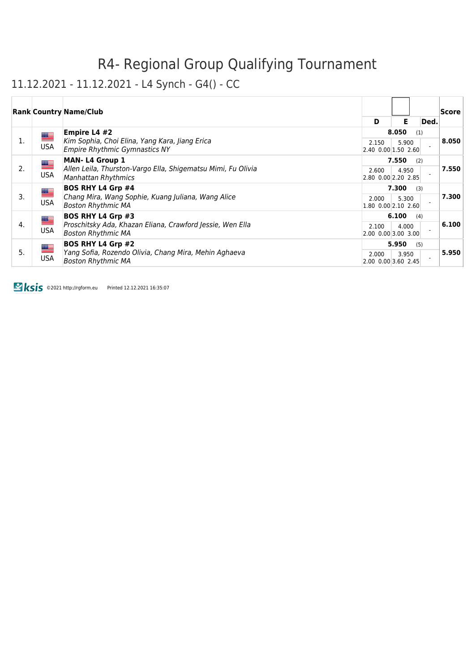### 11.12.2021 - 11.12.2021 - L4 Synch - G4() - CC

|    |                           | <b>Rank Country Name/Club</b>                                                                                      | D                                    | Е              | Ded. | Score |
|----|---------------------------|--------------------------------------------------------------------------------------------------------------------|--------------------------------------|----------------|------|-------|
| 1. | ▀<br><b>USA</b>           | Empire L4 #2<br>Kim Sophia, Choi Elina, Yang Kara, Jiang Erica<br>Empire Rhythmic Gymnastics NY                    | 2.150<br>2.40 0.00 1.50 2.60         | 8.050<br>5.900 | (1)  | 8.050 |
| 2. | <u>est</u><br><b>USA</b>  | <b>MAN-L4 Group 1</b><br>Allen Leila, Thurston-Vargo Ella, Shigematsu Mimi, Fu Olivia<br>Manhattan Rhythmics       | 2.600<br>2.80 0.00 2.20 2.85         | 7.550<br>4.950 | (2)  | 7.550 |
| 3. | ▀<br><b>USA</b>           | <b>BOS RHY L4 Grp #4</b><br>Chang Mira, Wang Sophie, Kuang Juliana, Wang Alice<br><b>Boston Rhythmic MA</b>        | 2.000<br>$ 1.80 \t0.00 2.10 \t2.60 $ | 7.300<br>5.300 | (3)  | 7.300 |
| 4. | <u> and</u><br><b>USA</b> | <b>BOS RHY L4 Grp #3</b><br>Proschitsky Ada, Khazan Eliana, Crawford Jessie, Wen Ella<br><b>Boston Rhythmic MA</b> | 2.100<br>$[2.00 \ 0.00]$ 3.00 3.00   | 6.100<br>4.000 | (4)  | 6.100 |
| 5. | <u>est</u><br><b>USA</b>  | <b>BOS RHY L4 Grp #2</b><br>Yang Sofia, Rozendo Olivia, Chang Mira, Mehin Aghaeva<br><b>Boston Rhythmic MA</b>     | 2.000<br>2.00 0.00 3.60 2.45         | 5.950<br>3.950 | (5)  | 5.950 |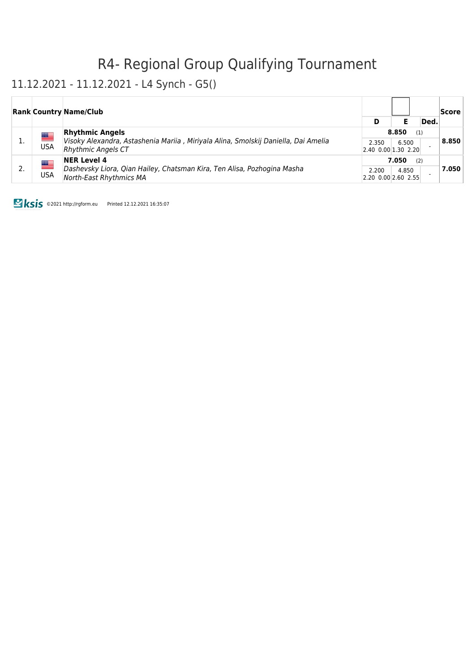#### 11.12.2021 - 11.12.2021 - L4 Synch - G5()

|                                | <b>Rank Country Name/Club</b>                                                                                                                                        |              |                                |      | Score |
|--------------------------------|----------------------------------------------------------------------------------------------------------------------------------------------------------------------|--------------|--------------------------------|------|-------|
|                                |                                                                                                                                                                      | D            |                                | Ded. |       |
|                                | <b>Rhythmic Angels</b><br><u>se</u><br>Visoky Alexandra, Astashenia Mariia, Miriyala Alina, Smolskij Daniella, Dai Amelia<br><b>USA</b><br><b>Rhythmic Angels CT</b> | 8.850<br>(1) |                                |      |       |
|                                |                                                                                                                                                                      | 2.350        | 6.500<br>$2.40$ 0.00 1.30 2.20 |      | 8.850 |
| ██                             | <b>NER Level 4</b>                                                                                                                                                   |              | 7.050<br>(2)                   |      |       |
| USA<br>North-East Rhythmics MA | Dashevsky Liora, Qian Hailey, Chatsman Kira, Ten Alisa, Pozhogina Masha                                                                                              | 2.200        | 4.850<br>2.20 0.00 2.60 2.55   |      | 7.050 |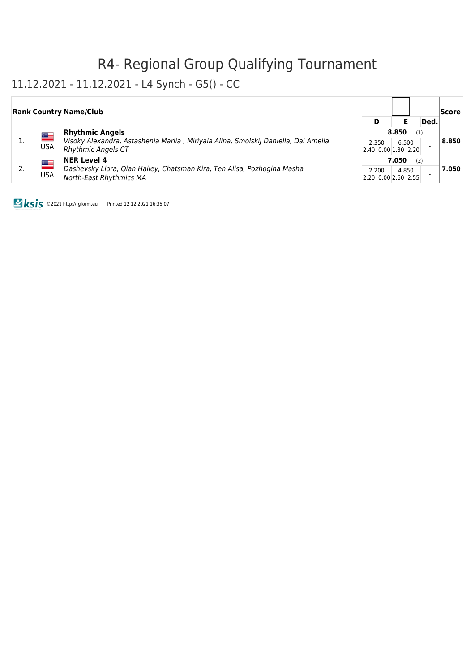### 11.12.2021 - 11.12.2021 - L4 Synch - G5() - CC

|            | <b>Rank Country Name/Club</b>                                                                                                                   |                                      |       |      | Score |
|------------|-------------------------------------------------------------------------------------------------------------------------------------------------|--------------------------------------|-------|------|-------|
|            |                                                                                                                                                 | D                                    |       | Ded. |       |
|            | <b>Rhythmic Angels</b><br>█▆<br>Visoky Alexandra, Astashenia Mariia, Miriyala Alina, Smolskij Daniella, Dai Amelia<br><b>Rhythmic Angels CT</b> | 8.850                                | (1)   |      |       |
| <b>USA</b> |                                                                                                                                                 | 2.350<br>$ 2.40 \t0.00 1.30 \t2.20 $ | 6.500 |      | 8.850 |
|            | <b>NER Level 4</b><br>▀<br>Dashevsky Liora, Qian Hailey, Chatsman Kira, Ten Alisa, Pozhogina Masha<br>USA<br><b>North-East Rhythmics MA</b>     | 7.050<br>(2)                         |       |      |       |
|            |                                                                                                                                                 | 2.200<br>2.20 0.00 2.60 2.55         | 4.850 |      | 7.050 |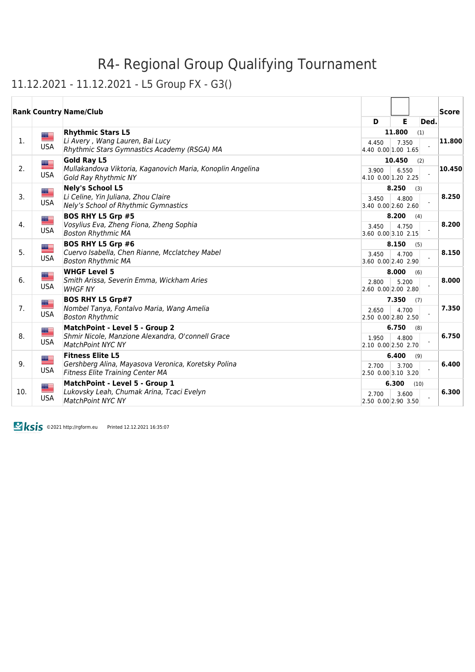#### 11.12.2021 - 11.12.2021 - L5 Group FX - G3()

|     |                          | <b>Rank Country Name/Club</b>                                                                                             |                              |                 |      | Score  |
|-----|--------------------------|---------------------------------------------------------------------------------------------------------------------------|------------------------------|-----------------|------|--------|
|     |                          |                                                                                                                           | D                            | E               | Ded. |        |
| 1.  | █<br><b>USA</b>          | <b>Rhythmic Stars L5</b><br>Li Avery, Wang Lauren, Bai Lucy<br>Rhythmic Stars Gymnastics Academy (RSGA) MA                | 4.450<br>4.40 0.00 1.00 1.65 | 11.800<br>7.350 | (1)  | 11.800 |
| 2.  | <u> a </u><br><b>USA</b> | <b>Gold Ray L5</b><br>Mullakandova Viktoria, Kaganovich Maria, Konoplin Angelina<br><b>Gold Ray Rhythmic NY</b>           | 3.900<br>4.10 0.00 1.20 2.25 | 10.450<br>6.550 | (2)  | 10.450 |
| 3.  | <u>as</u><br><b>USA</b>  | <b>Nely's School L5</b><br>Li Celine, Yin Juliana, Zhou Claire<br>Nely's School of Rhythmic Gymnastics                    | 3.450<br>3.40 0.00 2.60 2.60 | 8.250<br>4.800  | (3)  | 8.250  |
| 4.  | E<br><b>USA</b>          | <b>BOS RHY L5 Grp #5</b><br>Vosylius Eva, Zheng Fiona, Zheng Sophia<br><b>Boston Rhythmic MA</b>                          | 3.450<br>3.60 0.00 3.10 2.15 | 8.200<br>4.750  | (4)  | 8.200  |
| 5.  | <b>USA</b>               | <b>BOS RHY L5 Grp #6</b><br>Cuervo Isabella, Chen Rianne, Mcclatchey Mabel<br><b>Boston Rhythmic MA</b>                   | 3.450<br>3.60 0.00 2.40 2.90 | 8.150<br>4.700  | (5)  | 8.150  |
| 6.  | <u> a </u><br><b>USA</b> | <b>WHGF Level 5</b><br>Smith Arissa, Severin Emma, Wickham Aries<br><b>WHGF NY</b>                                        | 2.800<br>2.60 0.00 2.00 2.80 | 8.000<br>5.200  | (6)  | 8.000  |
| 7.  | █▆<br><b>USA</b>         | <b>BOS RHY L5 Grp#7</b><br>Nombel Tanya, Fontalvo Maria, Wang Amelia<br><b>Boston Rhythmic</b>                            | 2.650<br>2.50 0.00 2.80 2.50 | 7.350<br>4.700  | (7)  | 7.350  |
| 8.  | <u>as</u><br><b>USA</b>  | MatchPoint - Level 5 - Group 2<br>Shmir Nicole, Manzione Alexandra, O'connell Grace<br><b>MatchPoint NYC NY</b>           | 1.950<br>2.10 0.00 2.50 2.70 | 6.750<br>4.800  | (8)  | 6.750  |
| 9.  | <u> a </u><br><b>USA</b> | <b>Fitness Elite L5</b><br>Gershberg Alina, Mayasova Veronica, Koretsky Polina<br><b>Fitness Elite Training Center MA</b> | 2.700<br>2.50 0.00 3.10 3.20 | 6.400<br>3.700  | (9)  | 6.400  |
| 10. | <u>a –</u><br><b>USA</b> | MatchPoint - Level 5 - Group 1<br>Lukovsky Leah, Chumak Arina, Tcaci Evelyn<br><b>MatchPoint NYC NY</b>                   | 2.700<br>2.50 0.00 2.90 3.50 | 6.300<br>3.600  | (10) | 6.300  |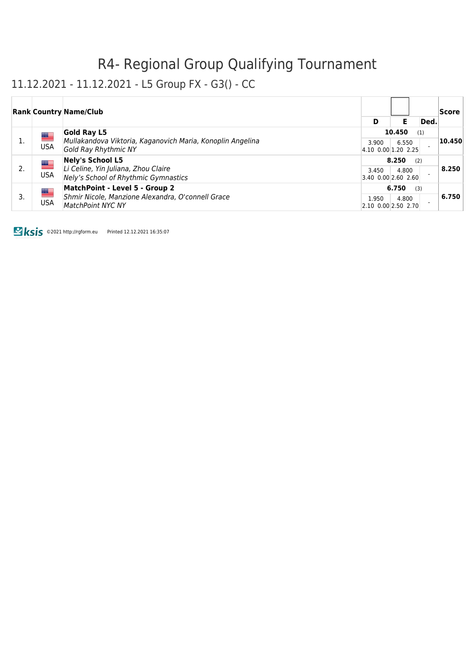#### 11.12.2021 - 11.12.2021 - L5 Group FX - G3() - CC

|    |     | <b>Rank Country Name/Club</b>                                                                                                 |                                      |        |      | Score  |
|----|-----|-------------------------------------------------------------------------------------------------------------------------------|--------------------------------------|--------|------|--------|
|    |     |                                                                                                                               | D                                    | Е      | Ded. |        |
|    | █▆  | <b>Gold Ray L5</b>                                                                                                            |                                      | 10.450 | (1)  |        |
| 1. | USA | Mullakandova Viktoria, Kaganovich Maria, Konoplin Angelina<br><b>Gold Ray Rhythmic NY</b>                                     | 3.900<br>4.10 0.00 1.20 2.25         | 6.550  |      | 10.450 |
|    |     | <b>Nely's School L5</b><br><u> III.</u><br>Li Celine, Yin Juliana, Zhou Claire<br>USA<br>Nely's School of Rhythmic Gymnastics | 8.250                                |        |      |        |
| 2. |     |                                                                                                                               | 3.450<br>3.40 0.00 2.60 2.60         | 4.800  |      | 8.250  |
|    |     | MatchPoint - Level 5 - Group 2<br>█▆<br>Shmir Nicole, Manzione Alexandra, O'connell Grace<br>USA<br><b>MatchPoint NYC NY</b>  | 6.750<br>(3)                         |        |      |        |
| 3. |     |                                                                                                                               | 1.950<br>$ 2.10 \t0.00 2.50 \t2.70 $ | 4.800  |      | 6.750  |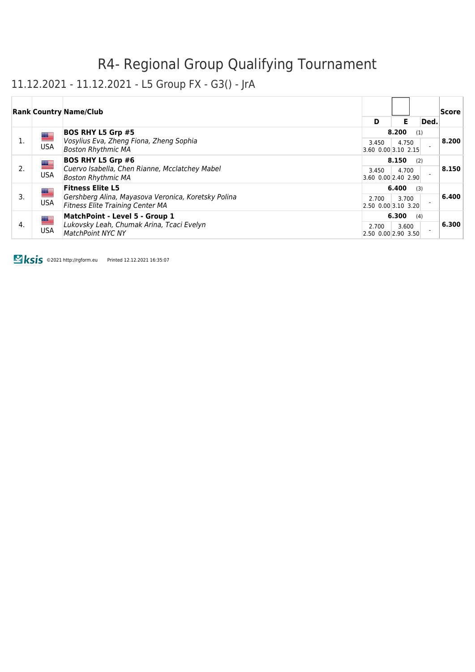#### 11.12.2021 - 11.12.2021 - L5 Group FX - G3() - JrA

|    |                                                                                                                             | <b>Rank Country Name/Club</b>                                                                                                        |                                      |       |      | <b>Score</b> |
|----|-----------------------------------------------------------------------------------------------------------------------------|--------------------------------------------------------------------------------------------------------------------------------------|--------------------------------------|-------|------|--------------|
|    |                                                                                                                             |                                                                                                                                      | D                                    | Е     | Ded. |              |
|    | <u>se</u>                                                                                                                   | <b>BOS RHY L5 Grp #5</b>                                                                                                             |                                      | 8.200 | (1)  |              |
| 1. | <b>USA</b>                                                                                                                  | Vosylius Eva, Zheng Fiona, Zheng Sophia<br><b>Boston Rhythmic MA</b>                                                                 | 3.450<br>$3.60$ 0.00 3.10 2.15       | 4.750 |      | 8,200        |
|    |                                                                                                                             | <b>BOS RHY L5 Grp #6</b><br><u> and</u><br>Cuervo Isabella, Chen Rianne, Mcclatchey Mabel<br><b>USA</b><br><b>Boston Rhythmic MA</b> | 8.150                                |       |      |              |
| 2. |                                                                                                                             |                                                                                                                                      | 3.450<br>$3.60$ 0.00 2.40 2.90       | 4.700 |      | 8.150        |
|    | <u> and</u>                                                                                                                 | <b>Fitness Elite L5</b>                                                                                                              | 6.400                                | (3)   |      |              |
| 3. | <b>USA</b>                                                                                                                  | Gershberg Alina, Mayasova Veronica, Koretsky Polina<br><b>Fitness Elite Training Center MA</b>                                       | 2.700<br>$2.50$ 0.00 3.10 3.20       | 3.700 |      | 6.400        |
|    | MatchPoint - Level 5 - Group 1<br>█▆<br>Lukovsky Leah, Chumak Arina, Tcaci Evelyn<br><b>USA</b><br><b>MatchPoint NYC NY</b> |                                                                                                                                      | 6.300                                | (4)   |      |              |
| 4. |                                                                                                                             |                                                                                                                                      | 2.700<br>$[2.50 \ 0.00]2.90 \ 3.50]$ | 3.600 |      | 6.300        |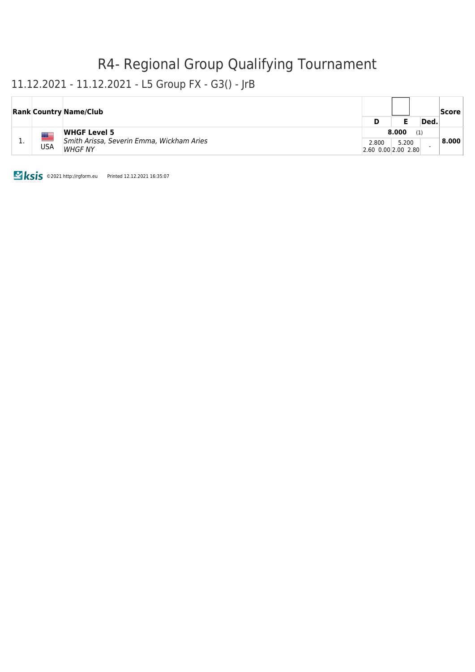#### 11.12.2021 - 11.12.2021 - L5 Group FX - G3() - JrB

|     |  | <b>Rank Country Name/Club</b>                                                      | D                                     |       | Ded. | Score |
|-----|--|------------------------------------------------------------------------------------|---------------------------------------|-------|------|-------|
| . . |  | <b>WHGF Level 5</b><br>Smith Arissa, Severin Emma, Wickham Aries<br>USA<br>WHGF NY | 8.000<br>(1)                          |       |      |       |
|     |  |                                                                                    | 2.800<br>$[2.60 \ 0.00] 2.00 \ 2.80]$ | 5.200 |      | 8.000 |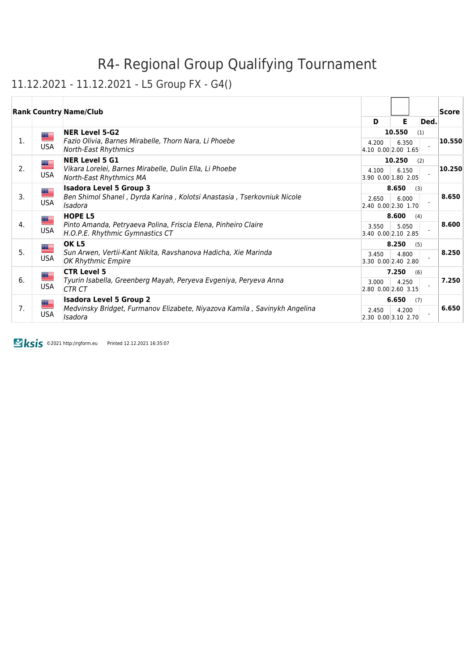#### 11.12.2021 - 11.12.2021 - L5 Group FX - G4()

|    |                          | <b>Rank Country Name/Club</b>                                                                                          | D                            | E.              | Ded. | Score  |
|----|--------------------------|------------------------------------------------------------------------------------------------------------------------|------------------------------|-----------------|------|--------|
| 1. | ▀<br><b>USA</b>          | <b>NER Level 5-G2</b><br>Fazio Olivia, Barnes Mirabelle, Thorn Nara, Li Phoebe<br><b>North-East Rhythmics</b>          | 4.200<br>4.10 0.00 2.00 1.65 | 10.550<br>6.350 | (1)  | 10.550 |
| 2. | <u>an </u><br><b>USA</b> | <b>NER Level 5 G1</b><br>Vikara Lorelei, Barnes Mirabelle, Dulin Ella, Li Phoebe<br>North-East Rhythmics MA            | 4.100<br>3.90 0.00 1.80 2.05 | 10.250<br>6.150 | (2)  | 10.250 |
| 3. | <u>est</u><br><b>USA</b> | <b>Isadora Level 5 Group 3</b><br>Ben Shimol Shanel, Dyrda Karina, Kolotsi Anastasia, Tserkovniuk Nicole<br>Isadora    | 2.650<br>2.40 0.00 2.30 1.70 | 8.650<br>6.000  | (3)  | 8.650  |
| 4. | <u>a </u><br><b>USA</b>  | <b>HOPE L5</b><br>Pinto Amanda, Petryaeva Polina, Friscia Elena, Pinheiro Claire<br>H.O.P.E. Rhythmic Gymnastics CT    | 3.550<br>3.40 0.00 2.10 2.85 | 8.600<br>5.050  | (4)  | 8.600  |
| 5. | USA                      | OK <sub>L5</sub><br>Sun Arwen, Vertii-Kant Nikita, Ravshanova Hadicha, Xie Marinda<br>OK Rhythmic Empire               | 3.450<br>3.30 0.00 2.40 2.80 | 8.250<br>4.800  | (5)  | 8.250  |
| 6. | <u>a </u><br><b>USA</b>  | <b>CTR Level 5</b><br>Tyurin Isabella, Greenberg Mayah, Peryeva Evgeniya, Peryeva Anna<br>CTR CT                       | 3.000<br>2.80 0.00 2.60 3.15 | 7.250<br>4.250  | (6)  | 7.250  |
| 7. | $\equiv$<br><b>USA</b>   | <b>Isadora Level 5 Group 2</b><br>Medvinsky Bridget, Furmanov Elizabete, Niyazova Kamila, Savinykh Angelina<br>Isadora | 2.450<br>2.30 0.00 3.10 2.70 | 6.650<br>4.200  | (7)  | 6.650  |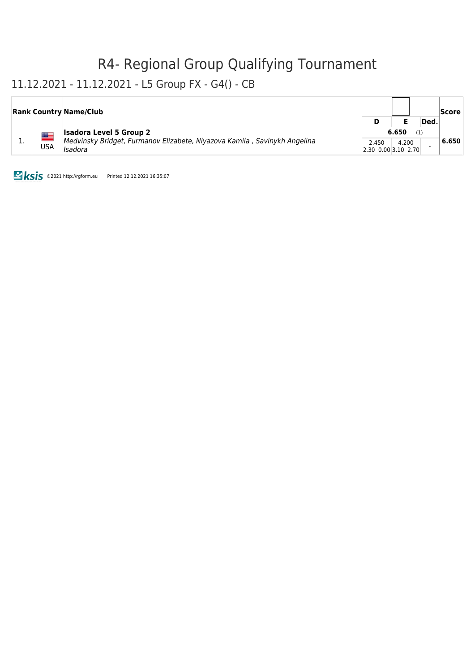#### 11.12.2021 - 11.12.2021 - L5 Group FX - G4() - CB

|     |     | <b>Rank Country Name/Club</b>                                                                                          |                                |                       | Ded. | Score |
|-----|-----|------------------------------------------------------------------------------------------------------------------------|--------------------------------|-----------------------|------|-------|
| . . | USA | <b>Isadora Level 5 Group 2</b><br>Medvinsky Bridget, Furmanov Elizabete, Niyazova Kamila, Savinykh Angelina<br>Isadora | 2.450<br>$2.30$ 0.00 3.10 2.70 | 6.650<br>(1)<br>4.200 |      | 6.650 |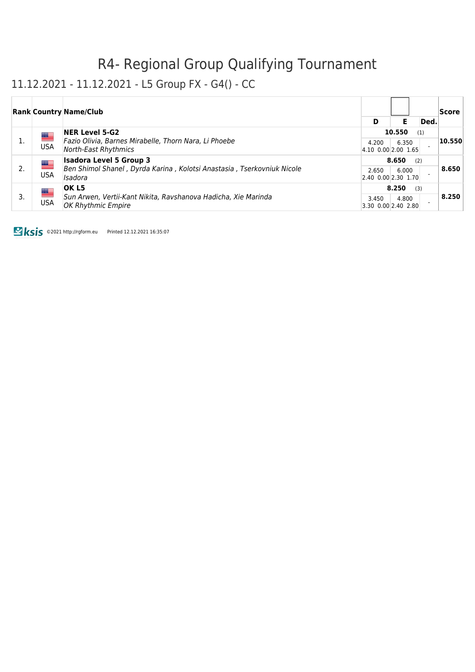#### 11.12.2021 - 11.12.2021 - L5 Group FX - G4() - CC

|    |                 | <b>Rank Country Name/Club</b>                                                                                                          |                                      |       |      | Score  |
|----|-----------------|----------------------------------------------------------------------------------------------------------------------------------------|--------------------------------------|-------|------|--------|
|    |                 |                                                                                                                                        | D                                    | Е     | Ded. |        |
|    | ▀<br><b>USA</b> | <b>NER Level 5-G2</b><br>Fazio Olivia, Barnes Mirabelle, Thorn Nara, Li Phoebe<br>North-East Rhythmics                                 | 10.550<br>(1)                        |       |      |        |
|    |                 |                                                                                                                                        | 4.200<br>$ 4.10 \t0.00 2.00 \t1.65 $ | 6.350 |      | 10.550 |
|    |                 | <b>Isadora Level 5 Group 3</b><br>▇<br>Ben Shimol Shanel, Dyrda Karina, Kolotsi Anastasia, Tserkovniuk Nicole<br><b>USA</b><br>Isadora | 8.650<br>(2)                         |       |      |        |
| 2. |                 |                                                                                                                                        | 2.650<br>2.40 0.00 2.30 1.70         | 6.000 |      | 8.650  |
| 3. | <u>as</u>       | OK L5                                                                                                                                  | 8.250<br>(3)                         |       |      |        |
|    | <b>USA</b>      | Sun Arwen, Vertii-Kant Nikita, Ravshanova Hadicha, Xie Marinda<br><b>OK Rhythmic Empire</b>                                            | 3.450<br>$3.30$ 0.00 2.40 2.80       | 4.800 |      | 8.250  |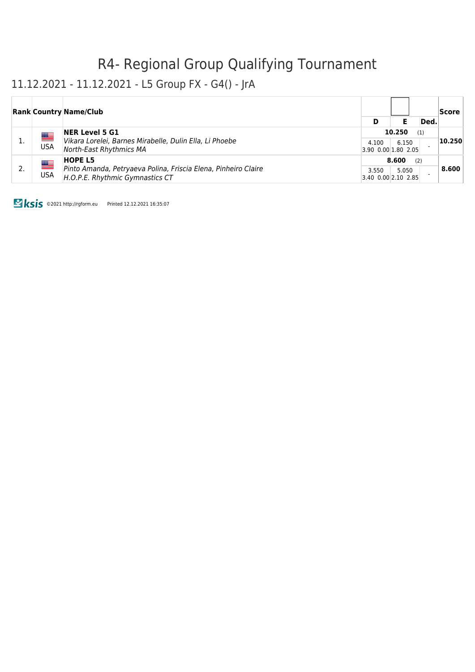#### 11.12.2021 - 11.12.2021 - L5 Group FX - G4() - JrA

|           | <b>Rank Country Name/Club</b>                                                                     |                              |              |      | Score  |
|-----------|---------------------------------------------------------------------------------------------------|------------------------------|--------------|------|--------|
|           |                                                                                                   | D                            |              | Ded. |        |
| ▀         | <b>NER Level 5 G1</b>                                                                             |                              | 10.250       | (1)  |        |
| USA       | Vikara Lorelei, Barnes Mirabelle, Dulin Ella, Li Phoebe<br>North-East Rhythmics MA                | 4.100<br>3.90 0.00 1.80 2.05 | 6.150        |      | 10.250 |
|           | <b>HOPE L5</b>                                                                                    |                              | 8.600<br>(2) |      |        |
| █▆<br>USA | Pinto Amanda, Petryaeva Polina, Friscia Elena, Pinheiro Claire<br>H.O.P.E. Rhythmic Gymnastics CT | 3.550<br>3.40 0.00 2.10 2.85 | 5.050        |      | 8.600  |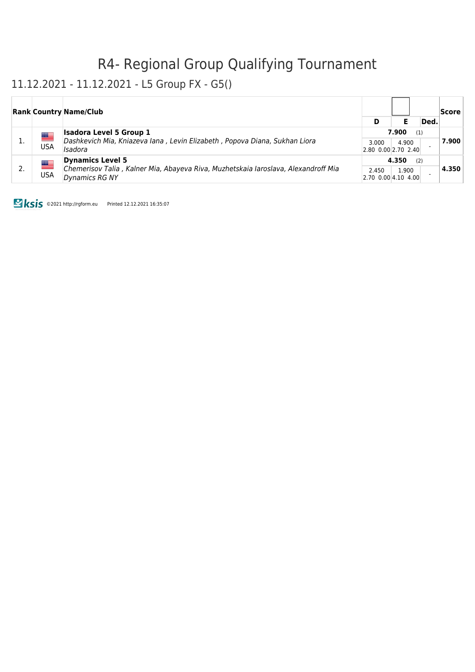#### 11.12.2021 - 11.12.2021 - L5 Group FX - G5()

|            | <b>Rank Country Name/Club</b>                                                                        |       |                              |      | Score |
|------------|------------------------------------------------------------------------------------------------------|-------|------------------------------|------|-------|
|            |                                                                                                      | D     |                              | Ded. |       |
| ██         | <b>Isadora Level 5 Group 1</b>                                                                       |       | 7.900                        | (1)  |       |
| USA        | Dashkevich Mia, Kniazeva Iana, Levin Elizabeth, Popova Diana, Sukhan Liora<br>Isadora                | 3.000 | 4.900<br>2.80 0.00 2.70 2.40 |      | 7.900 |
| <u>se</u>  | <b>Dynamics Level 5</b>                                                                              | 4.350 | (2)                          |      |       |
| <b>USA</b> | Chemerisov Talia, Kalner Mia, Abayeva Riva, Muzhetskaia laroslava, Alexandroff Mia<br>Dynamics RG NY | 2.450 | 1.900<br>2.70 0.00 4.10 4.00 |      | 4.350 |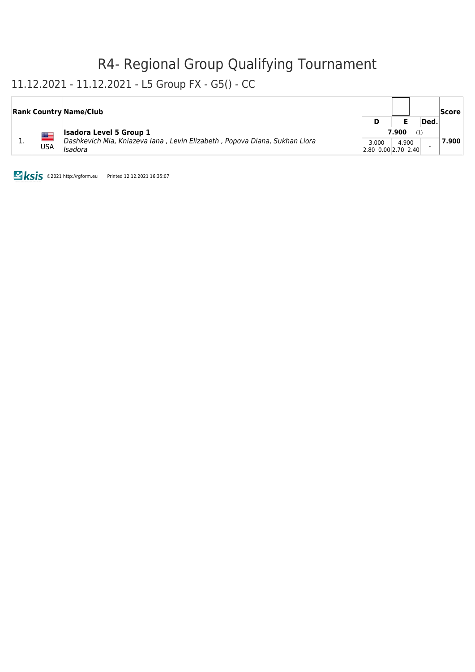#### 11.12.2021 - 11.12.2021 - L5 Group FX - G5() - CC

|  |     | <b>Rank Country Name/Club</b>                                                                                | D                              |  | Ded. | Score |
|--|-----|--------------------------------------------------------------------------------------------------------------|--------------------------------|--|------|-------|
|  | USA | <b>Isadora Level 5 Group 1</b><br>Dashkevich Mia, Kniazeva Iana, Levin Elizabeth, Popova Diana, Sukhan Liora | 7.900<br>(1)<br>4.900<br>3.000 |  |      | 7.900 |
|  |     | Isadora                                                                                                      | $2.80$ 0.00 2.70 2.40          |  |      |       |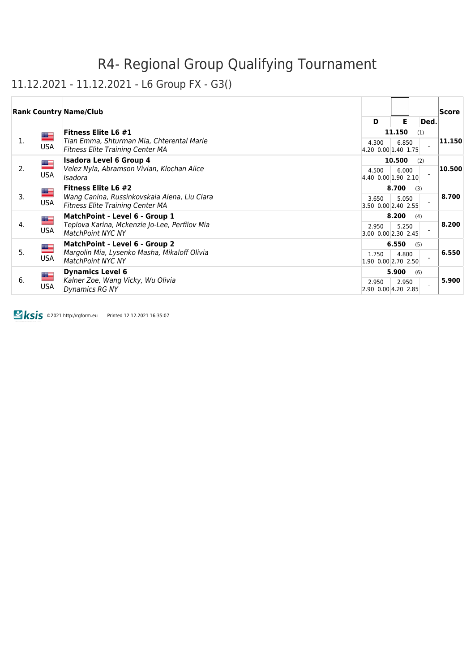#### 11.12.2021 - 11.12.2021 - L6 Group FX - G3()

|    |                          | <b>Rank Country Name/Club</b>                                                                                         | D                            | Е               |     | Ded. | Score                |
|----|--------------------------|-----------------------------------------------------------------------------------------------------------------------|------------------------------|-----------------|-----|------|----------------------|
| 1. | ▀<br><b>USA</b>          | <b>Fitness Elite L6 #1</b><br>Tian Emma, Shturman Mia, Chterental Marie<br><b>Fitness Elite Training Center MA</b>    | 4.300<br>4.20 0.00 1.40 1.75 | 11.150<br>6.850 | (1) |      | $\vert 11.150 \vert$ |
| 2. | ▀<br><b>USA</b>          | <b>Isadora Level 6 Group 4</b><br>Velez Nyla, Abramson Vivian, Klochan Alice<br>Isadora                               | 4.500<br>4.40 0.00 1.90 2.10 | 10.500<br>6.000 | (2) |      | 10.500               |
| 3. | ▀<br><b>USA</b>          | <b>Fitness Elite L6 #2</b><br>Wang Canina, Russinkovskaia Alena, Liu Clara<br><b>Fitness Elite Training Center MA</b> | 3.650<br>3.50 0.00 2.40 2.55 | 8.700<br>5.050  | (3) |      | 8.700                |
| 4. | <u>a </u><br><b>USA</b>  | MatchPoint - Level 6 - Group 1<br>Teplova Karina, Mckenzie Jo-Lee, Perfilov Mia<br><b>MatchPoint NYC NY</b>           | 2.950<br>3.00 0.00 2.30 2.45 | 8.200<br>5.250  | (4) |      | 8.200                |
| 5. | █<br><b>USA</b>          | MatchPoint - Level 6 - Group 2<br>Margolin Mia, Lysenko Masha, Mikaloff Olivia<br><b>MatchPoint NYC NY</b>            | 1.750<br>1.90 0.00 2.70 2.50 | 6.550<br>4.800  | (5) |      | 6.550                |
| 6. | <u>est</u><br><b>USA</b> | <b>Dynamics Level 6</b><br>Kalner Zoe, Wang Vicky, Wu Olivia<br>Dynamics RG NY                                        | 2.950<br>2.90 0.00 4.20 2.85 | 5.900<br>2.950  | (6) |      | 5.900                |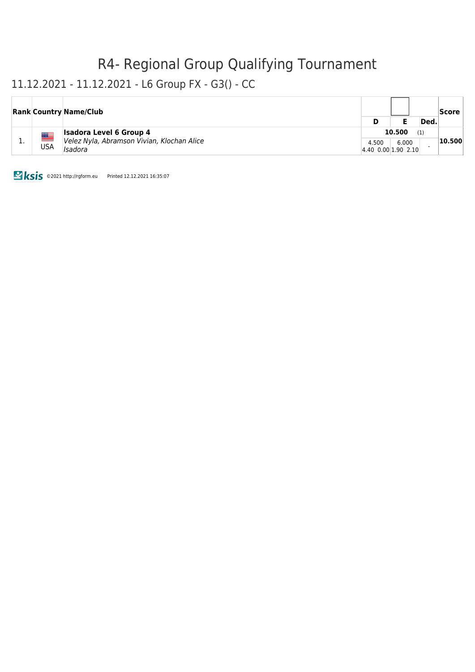### 11.12.2021 - 11.12.2021 - L6 Group FX - G3() - CC

|            | <b>Rank Country Name/Club</b>                         |                                      |       |      | Score  |
|------------|-------------------------------------------------------|--------------------------------------|-------|------|--------|
|            |                                                       | D                                    |       | Ded. |        |
|            | <b>Isadora Level 6 Group 4</b>                        | 10.500<br>(1)                        |       |      |        |
| <b>USA</b> | Velez Nyla, Abramson Vivian, Klochan Alice<br>Isadora | 4.500<br>$ 4.40 \t0.00 1.90 \t2.10 $ | 6.000 |      | 10.500 |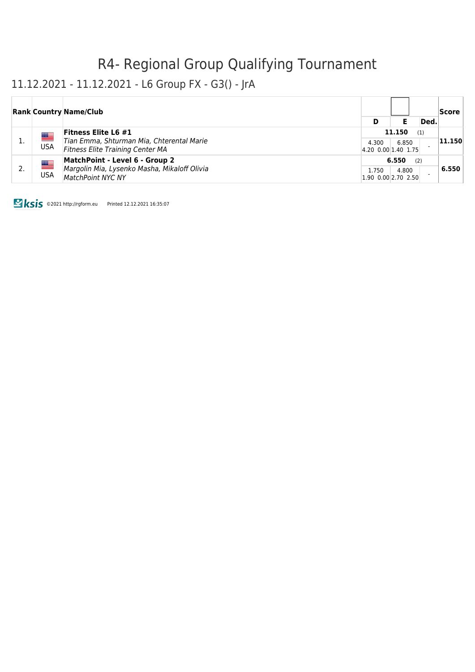#### 11.12.2021 - 11.12.2021 - L6 Group FX - G3() - JrA

|                 | <b>Rank Country Name/Club</b>                                                                                      |                                      |                 |      | Score  |
|-----------------|--------------------------------------------------------------------------------------------------------------------|--------------------------------------|-----------------|------|--------|
|                 |                                                                                                                    | D                                    |                 | Ded. |        |
| ▀<br><b>USA</b> | <b>Fitness Elite L6 #1</b><br>Tian Emma, Shturman Mia, Chterental Marie<br><b>Fitness Elite Training Center MA</b> | 4.300<br>$ 4.20 \t0.00 1.40 \t1.75 $ | 11.150<br>6.850 | (1)  | 11.150 |
| ≝<br><b>USA</b> | MatchPoint - Level 6 - Group 2<br>Margolin Mia, Lysenko Masha, Mikaloff Olivia<br><b>MatchPoint NYC NY</b>         | 1.750<br>1.90 0.00 2.70 2.50         | 6.550<br>4.800  | (2)  | 6.550  |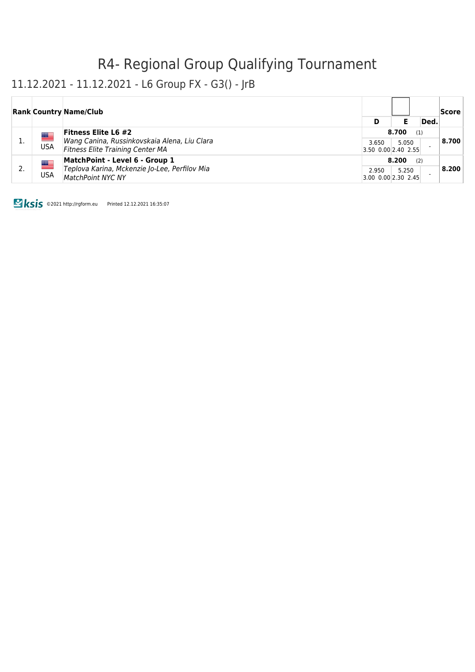#### 11.12.2021 - 11.12.2021 - L6 Group FX - G3() - JrB

|                  | <b>Rank Country Name/Club</b>                                                           |       |                                |      | Score |
|------------------|-----------------------------------------------------------------------------------------|-------|--------------------------------|------|-------|
|                  |                                                                                         | D     |                                | Ded. |       |
|                  | <b>Fitness Elite L6 #2</b>                                                              |       | 8.700<br>(1)                   |      |       |
| ▆▆<br><b>USA</b> | Wang Canina, Russinkovskaia Alena, Liu Clara<br><b>Fitness Elite Training Center MA</b> | 3.650 | 5.050<br>3.50 0.00 2.40 2.55   |      | 8.700 |
|                  | MatchPoint - Level 6 - Group 1                                                          |       | 8.200<br>(2)                   |      |       |
| ▀<br><b>USA</b>  | Teplova Karina, Mckenzie Jo-Lee, Perfilov Mia<br><b>MatchPoint NYC NY</b>               | 2.950 | 5.250<br>$3.00$ 0.00 2.30 2.45 |      | 8.200 |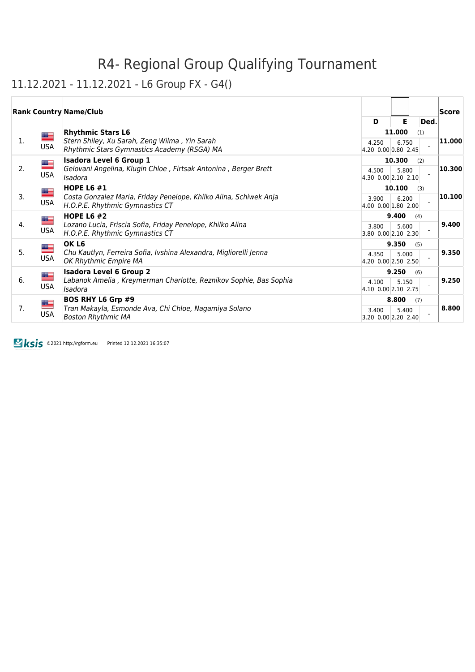### 11.12.2021 - 11.12.2021 - L6 Group FX - G4()

|    |                                                                                            | <b>Rank Country Name/Club</b>                                                                     | D                            | Е               | Ded.  | <b>Score</b> |
|----|--------------------------------------------------------------------------------------------|---------------------------------------------------------------------------------------------------|------------------------------|-----------------|-------|--------------|
|    | <u>a </u>                                                                                  | <b>Rhythmic Stars L6</b>                                                                          |                              | 11.000          | (1)   |              |
| 1. | <b>USA</b>                                                                                 | Stern Shiley, Xu Sarah, Zeng Wilma, Yin Sarah<br>Rhythmic Stars Gymnastics Academy (RSGA) MA      | 4.250<br>4.20 0.00 0.80 2.45 | 6.750           |       | 11.000       |
| 2. | <u>se</u>                                                                                  | <b>Isadora Level 6 Group 1</b><br>Gelovani Angelina, Klugin Chloe, Firtsak Antonina, Berger Brett |                              | 10.300          | (2)   | 10.300       |
|    | <b>USA</b>                                                                                 | Isadora                                                                                           | 4.500<br>4.30 0.00 2.10 2.10 | 5.800           |       |              |
| 3. | <u> a </u>                                                                                 | <b>HOPE L6 #1</b><br>Costa Gonzalez Maria, Friday Penelope, Khilko Alina, Schiwek Anja            | 3.900                        | 10.100<br>6.200 | (3)   | 10.100       |
|    | <b>USA</b>                                                                                 | H.O.P.E. Rhythmic Gymnastics CT                                                                   | 4.00 0.00 1.80 2.00          |                 |       |              |
| 4. | $=$                                                                                        | <b>HOPE L6 #2</b><br>Lozano Lucia, Friscia Sofia, Friday Penelope, Khilko Alina                   |                              | 9.400           | (4)   | 9.400        |
|    | <b>USA</b>                                                                                 | H.O.P.E. Rhythmic Gymnastics CT                                                                   | 3.800<br>3.80 0.00 2.10 2.30 | 5.600           |       |              |
|    | <u>a a</u>                                                                                 | OK L6                                                                                             |                              | 9.350           | (5)   |              |
| 5. | <b>USA</b>                                                                                 | Chu Kautlyn, Ferreira Sofia, Ivshina Alexandra, Migliorelli Jenna<br>OK Rhythmic Empire MA        | 4.350<br>4.20 0.00 2.50 2.50 | 5.000           |       | 9.350        |
|    | ▀                                                                                          | <b>Isadora Level 6 Group 2</b>                                                                    |                              | 9.250           | (6)   |              |
| 6. | Labanok Amelia, Kreymerman Charlotte, Reznikov Sophie, Bas Sophia<br><b>USA</b><br>Isadora | 4.100<br>4.10 0.00 2.10 2.75                                                                      | 5.150                        |                 | 9.250 |              |
|    | █                                                                                          | <b>BOS RHY L6 Grp #9</b>                                                                          | 8.800                        | (7)             |       |              |
| 7. | <b>USA</b>                                                                                 | Tran Makayla, Esmonde Ava, Chi Chloe, Nagamiya Solano<br><b>Boston Rhythmic MA</b>                | 3.400<br>3.20 0.00 2.20 2.40 | 5.400           |       | 8.800        |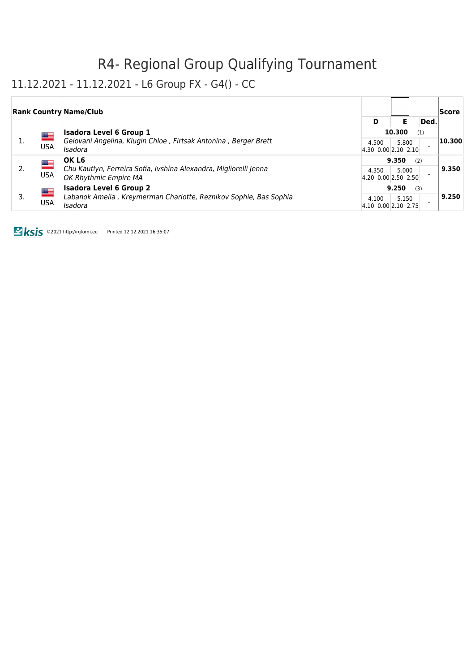### 11.12.2021 - 11.12.2021 - L6 Group FX - G4() - CC

|    |                       | <b>Rank Country Name/Club</b>                                                              |                              |              |      | Score  |
|----|-----------------------|--------------------------------------------------------------------------------------------|------------------------------|--------------|------|--------|
|    |                       |                                                                                            | D                            | Е            | Ded. |        |
| 1. | █▆                    | <b>Isadora Level 6 Group 1</b>                                                             |                              | 10.300       | (1)  | 10.300 |
|    | <b>USA</b><br>Isadora | Gelovani Angelina, Klugin Chloe, Firtsak Antonina, Berger Brett                            | 4.500<br>4.30 0.00 2.10 2.10 | 5.800        |      |        |
| 2. | <u>as</u>             | OK L6                                                                                      | 9.350<br>(2)                 |              |      |        |
|    | <b>USA</b>            | Chu Kautlyn, Ferreira Sofia, Ivshina Alexandra, Migliorelli Jenna<br>OK Rhythmic Empire MA | 4.350<br>4.20 0.00 2.50 2.50 | 5.000        |      | 9.350  |
| 3. | ▀                     | <b>Isadora Level 6 Group 2</b>                                                             |                              | 9.250<br>(3) |      |        |
|    | <b>USA</b>            | Labanok Amelia, Kreymerman Charlotte, Reznikov Sophie, Bas Sophia<br>Isadora               | 4.100<br>4.10 0.00 2.10 2.75 | 5.150        |      | 9.250  |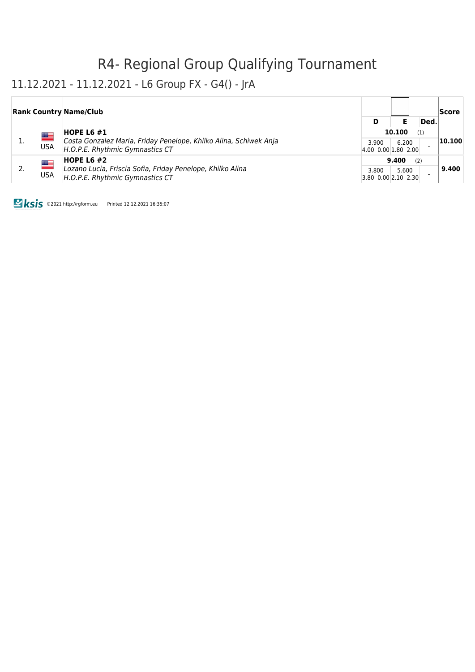#### 11.12.2021 - 11.12.2021 - L6 Group FX - G4() - JrA

|  |                                        | <b>Rank Country Name/Club</b>                                                                        |                              |       |      | Score  |
|--|----------------------------------------|------------------------------------------------------------------------------------------------------|------------------------------|-------|------|--------|
|  |                                        |                                                                                                      | D                            |       | Ded. |        |
|  | ██                                     | HOPE L6 $#1$                                                                                         | 10.100                       |       | (1)  |        |
|  | <b>USA</b>                             | Costa Gonzalez Maria, Friday Penelope, Khilko Alina, Schiwek Anja<br>H.O.P.E. Rhythmic Gymnastics CT | 3.900<br>4.00 0.00 1.80 2.00 | 6.200 |      | 10.100 |
|  | █▆                                     | <b>HOPE L6 #2</b>                                                                                    |                              | 9.400 | (2)  |        |
|  | USA<br>H.O.P.E. Rhythmic Gymnastics CT | Lozano Lucia, Friscia Sofia, Friday Penelope, Khilko Alina                                           | 3.800<br>3.80 0.00 2.10 2.30 | 5.600 |      | 9.400  |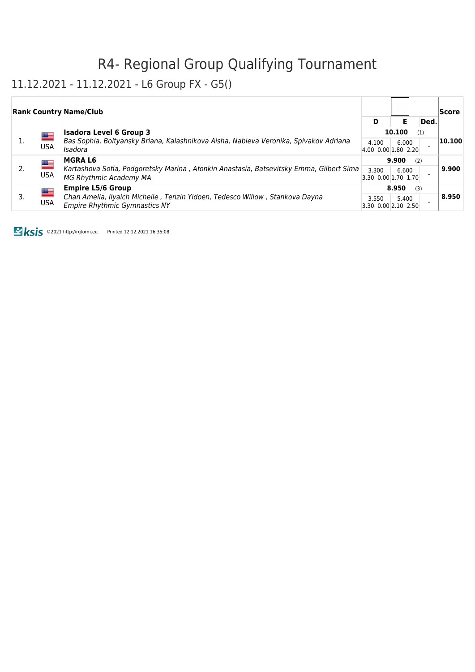#### 11.12.2021 - 11.12.2021 - L6 Group FX - G5()

|    |            | <b>Rank Country Name/Club</b>                                                                                        |                              |                              |       | Score  |
|----|------------|----------------------------------------------------------------------------------------------------------------------|------------------------------|------------------------------|-------|--------|
|    |            |                                                                                                                      | D                            |                              | Ded.  |        |
|    | <u>a </u>  | <b>Isadora Level 6 Group 3</b>                                                                                       | 10.100                       |                              | (1)   | 10.100 |
|    | <b>USA</b> | Bas Sophia, Boltyansky Briana, Kalashnikova Aisha, Nabieva Veronika, Spivakov Adriana<br>Isadora                     | 4.100<br>4.00 0.00 1.80 2.20 | 6.000                        |       |        |
| 2. | █▆         | <b>MGRAL6</b>                                                                                                        | 9.900<br>(2)                 |                              |       |        |
|    | <b>USA</b> | Kartashova Sofia, Podgoretsky Marina, Afonkin Anastasia, Batsevitsky Emma, Gilbert Sima<br>MG Rhythmic Academy MA    | 3.300                        | 6.600<br>3.30 0.00 1.70 1.70 | 9.900 |        |
| 3. | █▆         | <b>Empire L5/6 Group</b>                                                                                             |                              | 8.950<br>(3)                 |       |        |
|    | <b>USA</b> | Chan Amelia, Ilyaich Michelle, Tenzin Yidoen, Tedesco Willow, Stankova Dayna<br><b>Empire Rhythmic Gymnastics NY</b> | 3.550<br>3.30 0.00 2.10 2.50 | 5.400                        |       | 8.950  |